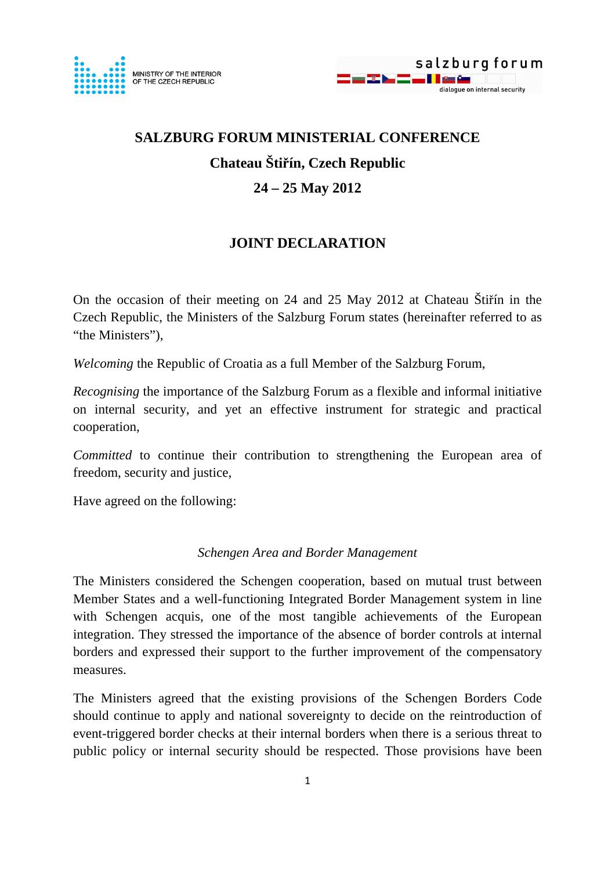



# **SALZBURG FORUM MINISTERIAL CONFERENCE Chateau Šti**ř**ín, Czech Republic 24 – 25 May 2012**

# **JOINT DECLARATION**

On the occasion of their meeting on 24 and 25 May 2012 at Chateau Štiřín in the Czech Republic, the Ministers of the Salzburg Forum states (hereinafter referred to as "the Ministers").

*Welcoming* the Republic of Croatia as a full Member of the Salzburg Forum,

*Recognising* the importance of the Salzburg Forum as a flexible and informal initiative on internal security, and yet an effective instrument for strategic and practical cooperation,

*Committed* to continue their contribution to strengthening the European area of freedom, security and justice,

Have agreed on the following:

## *Schengen Area and Border Management*

The Ministers considered the Schengen cooperation, based on mutual trust between Member States and a well-functioning Integrated Border Management system in line with Schengen acquis, one of the most tangible achievements of the European integration. They stressed the importance of the absence of border controls at internal borders and expressed their support to the further improvement of the compensatory measures.

The Ministers agreed that the existing provisions of the Schengen Borders Code should continue to apply and national sovereignty to decide on the reintroduction of event-triggered border checks at their internal borders when there is a serious threat to public policy or internal security should be respected. Those provisions have been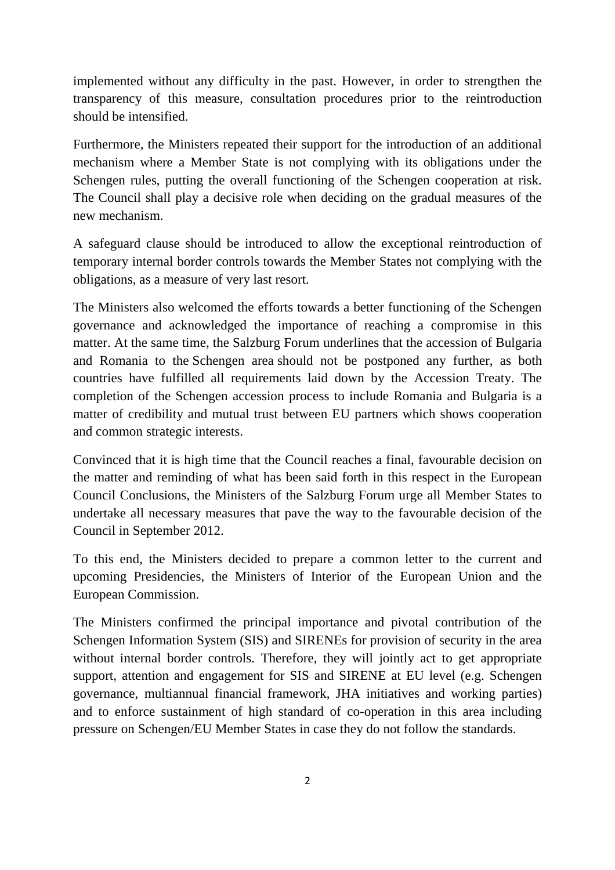implemented without any difficulty in the past. However, in order to strengthen the transparency of this measure, consultation procedures prior to the reintroduction should be intensified.

Furthermore, the Ministers repeated their support for the introduction of an additional mechanism where a Member State is not complying with its obligations under the Schengen rules, putting the overall functioning of the Schengen cooperation at risk. The Council shall play a decisive role when deciding on the gradual measures of the new mechanism.

A safeguard clause should be introduced to allow the exceptional reintroduction of temporary internal border controls towards the Member States not complying with the obligations, as a measure of very last resort.

The Ministers also welcomed the efforts towards a better functioning of the Schengen governance and acknowledged the importance of reaching a compromise in this matter. At the same time, the Salzburg Forum underlines that the accession of Bulgaria and Romania to the Schengen area should not be postponed any further, as both countries have fulfilled all requirements laid down by the Accession Treaty. The completion of the Schengen accession process to include Romania and Bulgaria is a matter of credibility and mutual trust between EU partners which shows cooperation and common strategic interests.

Convinced that it is high time that the Council reaches a final, favourable decision on the matter and reminding of what has been said forth in this respect in the European Council Conclusions, the Ministers of the Salzburg Forum urge all Member States to undertake all necessary measures that pave the way to the favourable decision of the Council in September 2012.

To this end, the Ministers decided to prepare a common letter to the current and upcoming Presidencies, the Ministers of Interior of the European Union and the European Commission.

The Ministers confirmed the principal importance and pivotal contribution of the Schengen Information System (SIS) and SIRENEs for provision of security in the area without internal border controls. Therefore, they will jointly act to get appropriate support, attention and engagement for SIS and SIRENE at EU level (e.g. Schengen governance, multiannual financial framework, JHA initiatives and working parties) and to enforce sustainment of high standard of co-operation in this area including pressure on Schengen/EU Member States in case they do not follow the standards.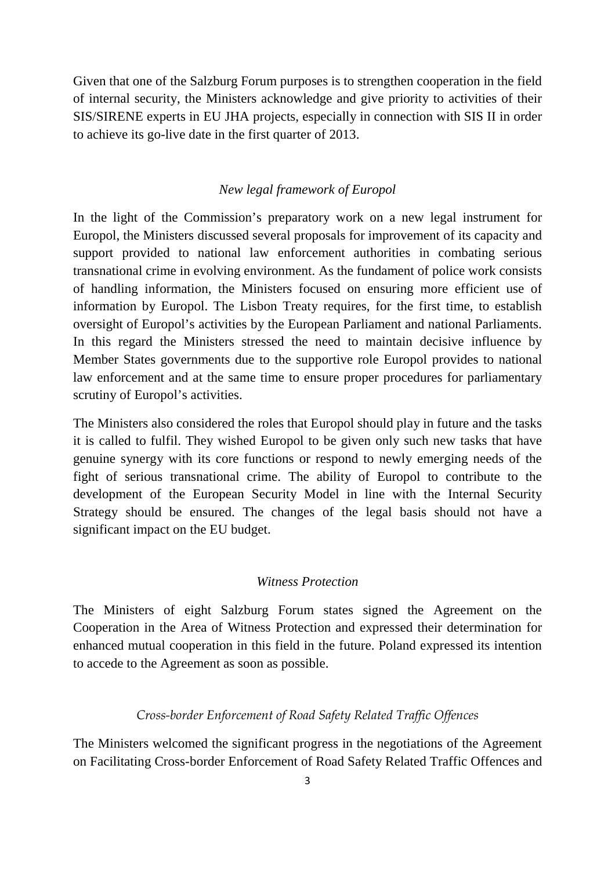Given that one of the Salzburg Forum purposes is to strengthen cooperation in the field of internal security, the Ministers acknowledge and give priority to activities of their SIS/SIRENE experts in EU JHA projects, especially in connection with SIS II in order to achieve its go-live date in the first quarter of 2013.

#### *New legal framework of Europol*

In the light of the Commission's preparatory work on a new legal instrument for Europol, the Ministers discussed several proposals for improvement of its capacity and support provided to national law enforcement authorities in combating serious transnational crime in evolving environment. As the fundament of police work consists of handling information, the Ministers focused on ensuring more efficient use of information by Europol. The Lisbon Treaty requires, for the first time, to establish oversight of Europol's activities by the European Parliament and national Parliaments. In this regard the Ministers stressed the need to maintain decisive influence by Member States governments due to the supportive role Europol provides to national law enforcement and at the same time to ensure proper procedures for parliamentary scrutiny of Europol's activities.

The Ministers also considered the roles that Europol should play in future and the tasks it is called to fulfil. They wished Europol to be given only such new tasks that have genuine synergy with its core functions or respond to newly emerging needs of the fight of serious transnational crime. The ability of Europol to contribute to the development of the European Security Model in line with the Internal Security Strategy should be ensured. The changes of the legal basis should not have a significant impact on the EU budget.

### *Witness Protection*

The Ministers of eight Salzburg Forum states signed the Agreement on the Cooperation in the Area of Witness Protection and expressed their determination for enhanced mutual cooperation in this field in the future. Poland expressed its intention to accede to the Agreement as soon as possible.

#### Cross-border Enforcement of Road Safety Related Traffic Offences

The Ministers welcomed the significant progress in the negotiations of the Agreement on Facilitating Cross-border Enforcement of Road Safety Related Traffic Offences and